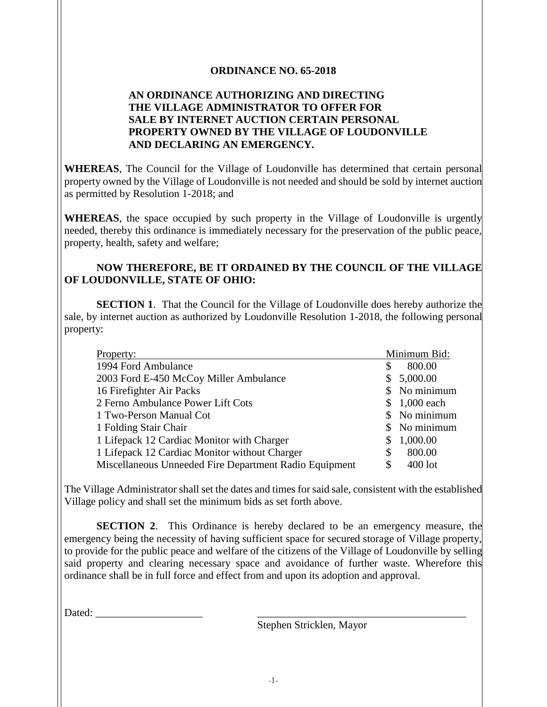## **ORDINANCE NO. 65-2018**

## **AN ORDINANCE AUTHORIZING AND DIRECTING THE VILLAGE ADMINISTRATOR TO OFFER FOR SALE BY INTERNET AUCTION CERTAIN PERSONAL PROPERTY OWNED BY THE VILLAGE OF LOUDONVILLE AND DECLARING AN EMERGENCY.**

**WHEREAS**, The Council for the Village of Loudonville has determined that certain personal property owned by the Village of Loudonville is not needed and should be sold by internet auction as permitted by Resolution 1-2018; and

**WHEREAS**, the space occupied by such property in the Village of Loudonville is urgently needed, thereby this ordinance is immediately necessary for the preservation of the public peace, property, health, safety and welfare;

## **NOW THEREFORE, BE IT ORDAINED BY THE COUNCIL OF THE VILLAGE OF LOUDONVILLE, STATE OF OHIO:**

**SECTION 1**. That the Council for the Village of Loudonville does hereby authorize the sale, by internet auction as authorized by Loudonville Resolution 1-2018, the following personal property:

| Property:                                              |              | Minimum Bid:  |
|--------------------------------------------------------|--------------|---------------|
| 1994 Ford Ambulance                                    | \$           | 800.00        |
| 2003 Ford E-450 McCoy Miller Ambulance                 | $\mathbb{S}$ | 5,000.00      |
| 16 Firefighter Air Packs                               |              | No minimum    |
| 2 Ferno Ambulance Power Lift Cots                      |              | 1,000 each    |
| 1 Two-Person Manual Cot                                |              | \$ No minimum |
| 1 Folding Stair Chair                                  |              | No minimum    |
| 1 Lifepack 12 Cardiac Monitor with Charger             | \$           | 1,000.00      |
| 1 Lifepack 12 Cardiac Monitor without Charger          | \$           | 800.00        |
| Miscellaneous Unneeded Fire Department Radio Equipment | \$           | $400$ lot     |

The Village Administrator shall set the dates and times for said sale, consistent with the established Village policy and shall set the minimum bids as set forth above.

**SECTION 2**. This Ordinance is hereby declared to be an emergency measure, the emergency being the necessity of having sufficient space for secured storage of Village property, to provide for the public peace and welfare of the citizens of the Village of Loudonville by selling said property and clearing necessary space and avoidance of further waste. Wherefore this ordinance shall be in full force and effect from and upon its adoption and approval.

Dated: \_\_\_\_\_\_\_\_\_\_\_\_\_\_\_\_\_\_\_\_ \_\_\_\_\_\_\_\_\_\_\_\_\_\_\_\_\_\_\_\_\_\_\_\_\_\_\_\_\_\_\_\_\_\_\_\_\_\_\_

Stephen Stricklen, Mayor